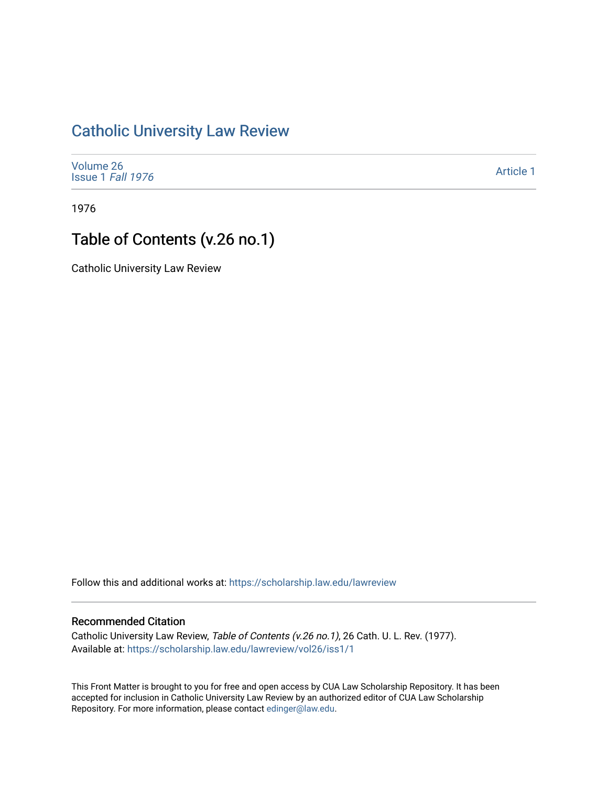## [Catholic University Law Review](https://scholarship.law.edu/lawreview)

| Volume 26         |  |
|-------------------|--|
|                   |  |
| Issue 1 Fall 1976 |  |

[Article 1](https://scholarship.law.edu/lawreview/vol26/iss1/1) 

1976

## Table of Contents (v.26 no.1)

Catholic University Law Review

Follow this and additional works at: [https://scholarship.law.edu/lawreview](https://scholarship.law.edu/lawreview?utm_source=scholarship.law.edu%2Flawreview%2Fvol26%2Fiss1%2F1&utm_medium=PDF&utm_campaign=PDFCoverPages)

### Recommended Citation

Catholic University Law Review, Table of Contents (v.26 no.1), 26 Cath. U. L. Rev. (1977). Available at: [https://scholarship.law.edu/lawreview/vol26/iss1/1](https://scholarship.law.edu/lawreview/vol26/iss1/1?utm_source=scholarship.law.edu%2Flawreview%2Fvol26%2Fiss1%2F1&utm_medium=PDF&utm_campaign=PDFCoverPages)

This Front Matter is brought to you for free and open access by CUA Law Scholarship Repository. It has been accepted for inclusion in Catholic University Law Review by an authorized editor of CUA Law Scholarship Repository. For more information, please contact [edinger@law.edu.](mailto:edinger@law.edu)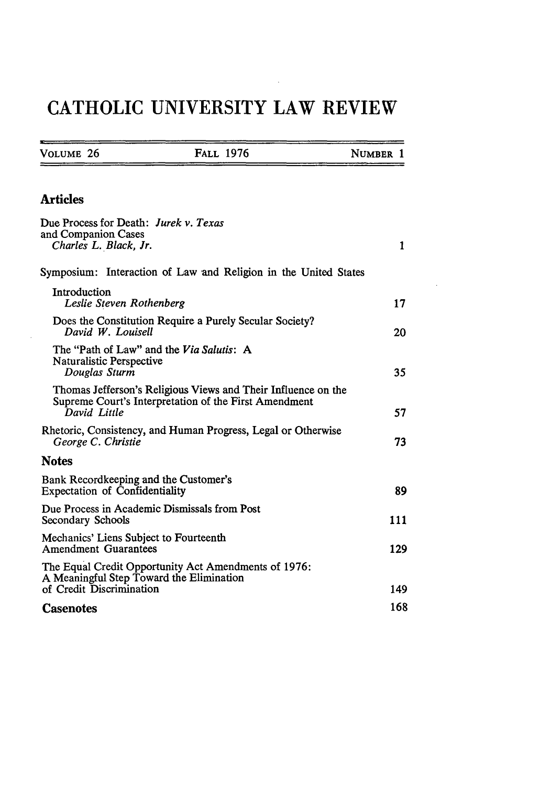# **CATHOLIC UNIVERSITY LAW REVIEW**

| VOLUME 26 | <b>FALL 1976</b> | NUMBER 1 |
|-----------|------------------|----------|
|           |                  |          |

### Articles

| Due Process for Death: Jurek v. Texas<br>and Companion Cases                                                                           |     |
|----------------------------------------------------------------------------------------------------------------------------------------|-----|
| Charles L. Black, Jr.                                                                                                                  | 1   |
| Symposium: Interaction of Law and Religion in the United States                                                                        |     |
| Introduction<br>Leslie Steven Rothenberg                                                                                               | 17  |
| Does the Constitution Require a Purely Secular Society?<br>David W. Louisell                                                           | 20  |
| The "Path of Law" and the Via Salutis: A<br>Naturalistic Perspective<br>Douglas Sturm                                                  | 35  |
| Thomas Jefferson's Religious Views and Their Influence on the<br>Supreme Court's Interpretation of the First Amendment<br>David Little | 57  |
| Rhetoric, Consistency, and Human Progress, Legal or Otherwise<br>George C. Christie                                                    | 73  |
| <b>Notes</b>                                                                                                                           |     |
| Bank Recordkeeping and the Customer's<br><b>Expectation of Confidentiality</b>                                                         | 89  |
| Due Process in Academic Dismissals from Post<br>Secondary Schools                                                                      | 111 |
| Mechanics' Liens Subject to Fourteenth<br><b>Amendment Guarantees</b>                                                                  | 129 |
| The Equal Credit Opportunity Act Amendments of 1976:<br>A Meaningful Step Toward the Elimination                                       |     |
| of Credit Discrimination                                                                                                               | 149 |
| <b>Casenotes</b>                                                                                                                       | 168 |

 $\mathbb{R}^2$